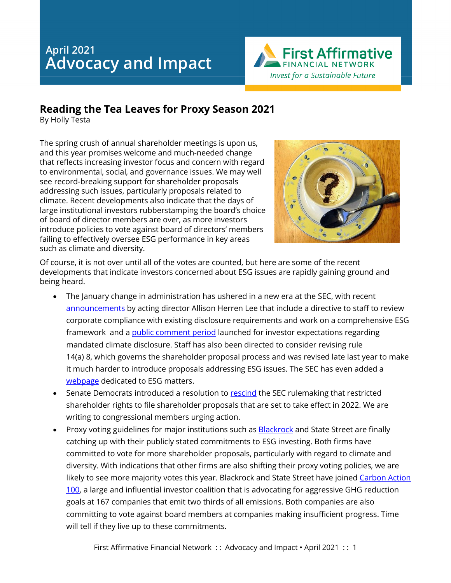## **April 2021 Advocacy and Impact**



## **Reading the Tea Leaves for Proxy Season 2021**

By Holly Testa

The spring crush of annual shareholder meetings is upon us, and this year promises welcome and much-needed change that reflects increasing investor focus and concern with regard to environmental, social, and governance issues. We may well see record-breaking support for shareholder proposals addressing such issues, particularly proposals related to climate. Recent developments also indicate that the days of large institutional investors rubberstamping the board's choice of board of director members are over, as more investors introduce policies to vote against board of directors' members failing to effectively oversee ESG performance in key areas such as climate and diversity.



Of course, it is not over until all of the votes are counted, but here are some of the recent developments that indicate investors concerned about ESG issues are rapidly gaining ground and being heard.

- The January change in administration has ushered in a new era at the SEC, with recent [announcements](https://www.sec.gov/news/speech/lee-climate-change) by acting director Allison Herren Lee that include a directive to staff to review corporate compliance with existing disclosure requirements and work on a comprehensive ESG framework and a [public comment period](https://www.sec.gov/news/public-statement/lee-climate-change-disclosures) launched for investor expectations regarding mandated climate disclosure. Staff has also been directed to consider revising rule 14(a) 8, which governs the shareholder proposal process and was revised late last year to make it much harder to introduce proposals addressing ESG issues. The SEC has even added a [webpage](https://www.sec.gov/sec-response-climate-and-esg-risks-and-opportunities) dedicated to ESG matters.
- Senate Democrats introduced a resolution t[o rescind](https://www.reuters.com/article/us-usa-senate-proxy-idUSKBN2BI2BS) the SEC rulemaking that restricted shareholder rights to file shareholder proposals that are set to take effect in 2022. We are writing to congressional members urging action.
- Proxy voting guidelines for major institutions such as [Blackrock](https://www.ft.com/content/d47a23bb-5c50-4aa6-adde-de0113395827) and State Street are finally catching up with their publicly stated commitments to ESG investing. Both firms have committed to vote for more shareholder proposals, particularly with regard to climate and diversity. With indications that other firms are also shifting their proxy voting policies, we are likely to see more majority votes this year. Blackrock and State Street have joined Carbon Action [100,](https://www.morningstar.com/news/dow-jones/202011307005/state-street-global-advisors-joins-climate-action-100) a large and influential investor coalition that is advocating for aggressive GHG reduction goals at 167 companies that emit two thirds of all emissions. Both companies are also committing to vote against board members at companies making insufficient progress. Time will tell if they live up to these commitments.